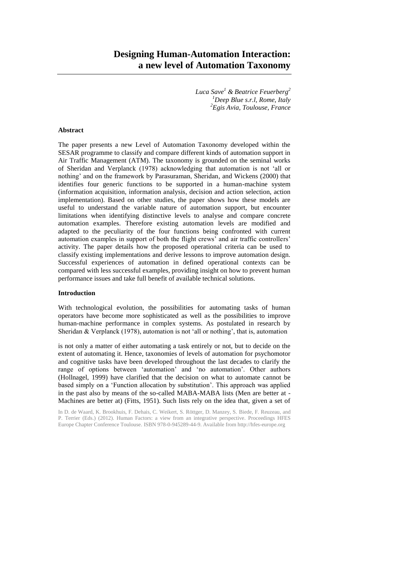# **Designing Human-Automation Interaction: a new level of Automation Taxonomy**

*Luca Save<sup>1</sup> & Beatrice Feuerberg<sup>2</sup> <sup>1</sup>Deep Blue s.r.l, Rome, Italy <sup>2</sup>Egis Avia, Toulouse, France*

# **Abstract**

The paper presents a new Level of Automation Taxonomy developed within the SESAR programme to classify and compare different kinds of automation support in Air Traffic Management (ATM). The taxonomy is grounded on the seminal works of Sheridan and Verplanck (1978) acknowledging that automation is not 'all or nothing' and on the framework by Parasuraman, Sheridan, and Wickens (2000) that identifies four generic functions to be supported in a human-machine system (information acquisition, information analysis, decision and action selection, action implementation). Based on other studies, the paper shows how these models are useful to understand the variable nature of automation support, but encounter limitations when identifying distinctive levels to analyse and compare concrete automation examples. Therefore existing automation levels are modified and adapted to the peculiarity of the four functions being confronted with current automation examples in support of both the flight crews' and air traffic controllers' activity. The paper details how the proposed operational criteria can be used to classify existing implementations and derive lessons to improve automation design. Successful experiences of automation in defined operational contexts can be compared with less successful examples, providing insight on how to prevent human performance issues and take full benefit of available technical solutions.

#### **Introduction**

With technological evolution, the possibilities for automating tasks of human operators have become more sophisticated as well as the possibilities to improve human-machine performance in complex systems. As postulated in research by Sheridan & Verplanck (1978), automation is not 'all or nothing', that is, automation

is not only a matter of either automating a task entirely or not, but to decide on the extent of automating it. Hence, taxonomies of levels of automation for psychomotor and cognitive tasks have been developed throughout the last decades to clarify the range of options between 'automation' and 'no automation'. Other authors (Hollnagel, 1999) have clarified that the decision on what to automate cannot be based simply on a 'Function allocation by substitution'. This approach was applied in the past also by means of the so-called MABA-MABA lists (Men are better at - Machines are better at) (Fitts, 1951). Such lists rely on the idea that, given a set of

In D. de Waard, K. Brookhuis, F. Dehais, C. Weikert, S. Röttger, D. Manzey, S. Biede, F. Reuzeau, and P. Terrier (Eds.) (2012). Human Factors: a view from an integrative perspective. Proceedings HFES Europe Chapter Conference Toulouse. ISBN 978-0-945289-44-9. Available from http://hfes-europe.org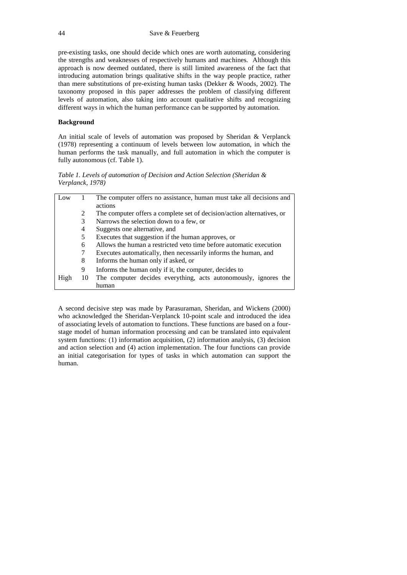pre-existing tasks, one should decide which ones are worth automating, considering the strengths and weaknesses of respectively humans and machines. Although this approach is now deemed outdated, there is still limited awareness of the fact that introducing automation brings qualitative shifts in the way people practice, rather than mere substitutions of pre-existing human tasks (Dekker & Woods, 2002). The taxonomy proposed in this paper addresses the problem of classifying different levels of automation, also taking into account qualitative shifts and recognizing different ways in which the human performance can be supported by automation.

## **Background**

An initial scale of levels of automation was proposed by Sheridan & Verplanck (1978) representing a continuum of levels between low automation, in which the human performs the task manually, and full automation in which the computer is fully autonomous (cf. Table 1).

*Table 1. Levels of automation of Decision and Action Selection (Sheridan & Verplanck, 1978)*

| Low  |                                                                                    | The computer offers no assistance, human must take all decisions and                                                                  |  |  |  |
|------|------------------------------------------------------------------------------------|---------------------------------------------------------------------------------------------------------------------------------------|--|--|--|
|      |                                                                                    | actions                                                                                                                               |  |  |  |
|      | 2                                                                                  | The computer offers a complete set of decision/action alternatives, or                                                                |  |  |  |
|      | 3<br>Narrows the selection down to a few, or<br>Suggests one alternative, and<br>4 |                                                                                                                                       |  |  |  |
|      |                                                                                    |                                                                                                                                       |  |  |  |
|      | 5                                                                                  | Executes that suggestion if the human approves, or                                                                                    |  |  |  |
|      | 6                                                                                  | Allows the human a restricted veto time before automatic execution<br>Executes automatically, then necessarily informs the human, and |  |  |  |
|      |                                                                                    |                                                                                                                                       |  |  |  |
|      | 8                                                                                  | Informs the human only if asked, or                                                                                                   |  |  |  |
|      | 9                                                                                  | Informs the human only if it, the computer, decides to                                                                                |  |  |  |
| High | 10                                                                                 | The computer decides everything, acts autonomously, ignores the                                                                       |  |  |  |
|      |                                                                                    | human                                                                                                                                 |  |  |  |

A second decisive step was made by Parasuraman, Sheridan, and Wickens (2000) who acknowledged the Sheridan-Verplanck 10-point scale and introduced the idea of associating levels of automation to functions. These functions are based on a fourstage model of human information processing and can be translated into equivalent system functions: (1) information acquisition, (2) information analysis, (3) decision and action selection and (4) action implementation. The four functions can provide an initial categorisation for types of tasks in which automation can support the human.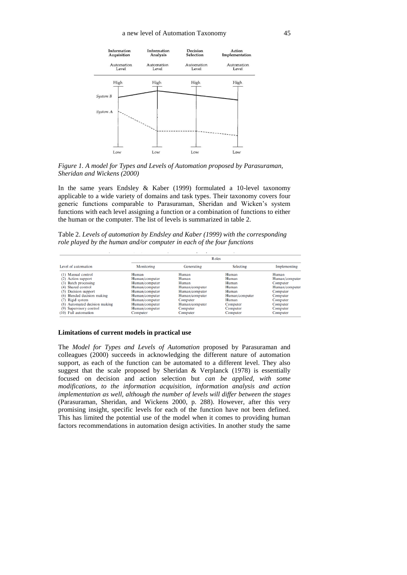

*Figure 1. A model for Types and Levels of Automation proposed by Parasuraman, Sheridan and Wickens (2000)*

In the same years Endsley & Kaber (1999) formulated a 10-level taxonomy applicable to a wide variety of domains and task types. Their taxonomy covers four generic functions comparable to Parasuraman, Sheridan and Wicken's system functions with each level assigning a function or a combination of functions to either the human or the computer. The list of levels is summarized in table 2.

Table 2. *Levels of automation by Endsley and Kaber (1999) with the corresponding role played by the human and/or computer in each of the four functions*

|                               | <b>R</b> oles  |                |                |                |
|-------------------------------|----------------|----------------|----------------|----------------|
| Level of automation           | Monitoring     | Generating     | Selecting      | Implementing   |
| (1) Manual control            | Human          | Human          | Human          | Human          |
| (2) Action support            | Human/computer | Human          | Human          | Human/computer |
| (3) Batch processing          | Human/computer | Human          | Human          | Computer       |
| (4) Shared control            | Human/computer | Human/computer | Human          | Human/computer |
| (5) Decision support          | Human/computer | Human/computer | Human          | Computer       |
| (6) Blended decision making   | Human/computer | Human/computer | Human/computer | Computer       |
| (7) Rigid system              | Human/computer | Computer       | Human          | Computer       |
| (8) Automated decision making | Human/computer | Human/computer | Computer       | Computer       |
| (9) Supervisory control       | Human/computer | Computer       | Computer       | Computer       |
| (10) Full automation          | Computer       | Computer       | Computer       | Computer       |

## **Limitations of current models in practical use**

The *Model for Types and Levels of Automation* proposed by Parasuraman and colleagues (2000) succeeds in acknowledging the different nature of automation support, as each of the function can be automated to a different level. They also suggest that the scale proposed by Sheridan & Verplanck (1978) is essentially focused on decision and action selection but *can be applied, with some modifications, to the information acquisition, information analysis and action implementation as well, although the number of levels will differ between the stages*  (Parasuraman*,* Sheridan, and Wickens 2000, p. 288). However, after this very promising insight, specific levels for each of the function have not been defined. This has limited the potential use of the model when it comes to providing human factors recommendations in automation design activities. In another study the same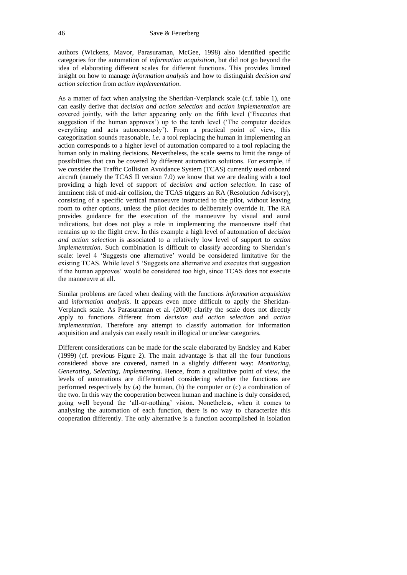authors (Wickens, Mavor, Parasuraman, McGee, 1998) also identified specific categories for the automation of *information acquisition*, but did not go beyond the idea of elaborating different scales for different functions. This provides limited insight on how to manage *information analysis* and how to distinguish *decision and action selection* from *action implementation*.

As a matter of fact when analysing the Sheridan-Verplanck scale (c.f. table 1), one can easily derive that *decision and action selection* and *action implementation* are covered jointly, with the latter appearing only on the fifth level ('Executes that suggestion if the human approves') up to the tenth level ('The computer decides everything and acts autonomously'). From a practical point of view, this categorization sounds reasonable, *i.e.* a tool replacing the human in implementing an action corresponds to a higher level of automation compared to a tool replacing the human only in making decisions. Nevertheless, the scale seems to limit the range of possibilities that can be covered by different automation solutions. For example, if we consider the Traffic Collision Avoidance System (TCAS) currently used onboard aircraft (namely the TCAS II version 7.0) we know that we are dealing with a tool providing a high level of support of *decision and action selection*. In case of imminent risk of mid-air collision, the TCAS triggers an RA (Resolution Advisory), consisting of a specific vertical manoeuvre instructed to the pilot, without leaving room to other options, unless the pilot decides to deliberately override it. The RA provides guidance for the execution of the manoeuvre by visual and aural indications, but does not play a role in implementing the manoeuvre itself that remains up to the flight crew. In this example a high level of automation of *decision and action selection* is associated to a relatively low level of support to *action implementation*. Such combination is difficult to classify according to Sheridan's scale: level 4 'Suggests one alternative' would be considered limitative for the existing TCAS. While level 5 'Suggests one alternative and executes that suggestion if the human approves' would be considered too high, since TCAS does not execute the manoeuvre at all.

Similar problems are faced when dealing with the functions *information acquisition* and *information analysis*. It appears even more difficult to apply the Sheridan-Verplanck scale. As Parasuraman et al. (2000) clarify the scale does not directly apply to functions different from *decision and action selection* and *action implementation*. Therefore any attempt to classify automation for information acquisition and analysis can easily result in illogical or unclear categories.

Different considerations can be made for the scale elaborated by Endsley and Kaber (1999) (cf. previous Figure 2). The main advantage is that all the four functions considered above are covered, named in a slightly different way: *Monitoring, Generating, Selecting, Implementing*. Hence, from a qualitative point of view, the levels of automations are differentiated considering whether the functions are performed respectively by (a) the human, (b) the computer or (c) a combination of the two. In this way the cooperation between human and machine is duly considered, going well beyond the 'all-or-nothing' vision. Nonetheless, when it comes to analysing the automation of each function, there is no way to characterize this cooperation differently. The only alternative is a function accomplished in isolation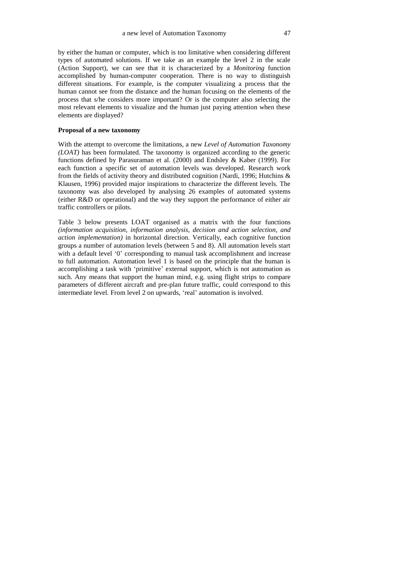by either the human or computer, which is too limitative when considering different types of automated solutions. If we take as an example the level 2 in the scale (Action Support), we can see that it is characterized by a *Monitoring* function accomplished by human-computer cooperation. There is no way to distinguish different situations. For example, is the computer visualizing a process that the human cannot see from the distance and the human focusing on the elements of the process that s/he considers more important? Or is the computer also selecting the most relevant elements to visualize and the human just paying attention when these elements are displayed?

## **Proposal of a new taxonomy**

With the attempt to overcome the limitations, a new *Level of Automation Taxonomy (LOAT)* has been formulated. The taxonomy is organized according to the generic functions defined by Parasuraman et al. (2000) and Endsley & Kaber (1999). For each function a specific set of automation levels was developed. Research work from the fields of activity theory and distributed cognition (Nardi, 1996; Hutchins & Klausen, 1996) provided major inspirations to characterize the different levels. The taxonomy was also developed by analysing 26 examples of automated systems (either R&D or operational) and the way they support the performance of either air traffic controllers or pilots.

Table 3 below presents LOAT organised as a matrix with the four functions *(information acquisition, information analysis, decision and action selection, and action implementation)* in horizontal direction. Vertically, each cognitive function groups a number of automation levels (between 5 and 8). All automation levels start with a default level '0' corresponding to manual task accomplishment and increase to full automation. Automation level 1 is based on the principle that the human is accomplishing a task with 'primitive' external support, which is not automation as such. Any means that support the human mind, e.g. using flight strips to compare parameters of different aircraft and pre-plan future traffic, could correspond to this intermediate level. From level 2 on upwards, 'real' automation is involved.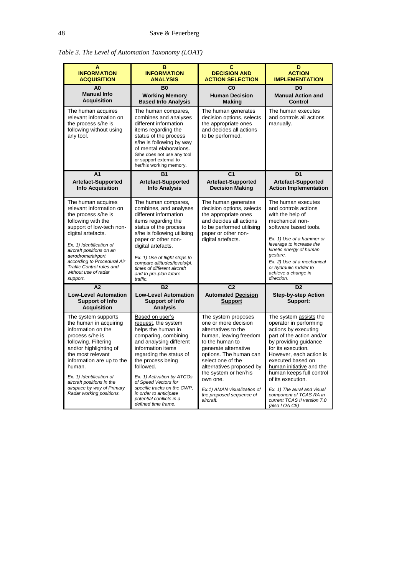*Table 3. The Level of Automation Taxonomy (LOAT)*

| A<br><b>INFORMATION</b><br><b>ACQUISITION</b>                                                                                                                                                                                                                                                                             | в<br><b>INFORMATION</b><br><b>ANALYSIS</b>                                                                                                                                                                                                                                                                                                                          | c<br><b>DECISION AND</b><br><b>ACTION SELECTION</b>                                                                                                                                                                                                                                                                             | D<br><b>ACTION</b><br><b>IMPLEMENTATION</b>                                                                                                                                                                                                                                                                                                                                                 |
|---------------------------------------------------------------------------------------------------------------------------------------------------------------------------------------------------------------------------------------------------------------------------------------------------------------------------|---------------------------------------------------------------------------------------------------------------------------------------------------------------------------------------------------------------------------------------------------------------------------------------------------------------------------------------------------------------------|---------------------------------------------------------------------------------------------------------------------------------------------------------------------------------------------------------------------------------------------------------------------------------------------------------------------------------|---------------------------------------------------------------------------------------------------------------------------------------------------------------------------------------------------------------------------------------------------------------------------------------------------------------------------------------------------------------------------------------------|
| A <sub>0</sub><br><b>Manual Info</b><br><b>Acquisition</b>                                                                                                                                                                                                                                                                | <b>B0</b><br><b>Working Memory</b><br><b>Based Info Analysis</b>                                                                                                                                                                                                                                                                                                    | C <sub>0</sub><br><b>Human Decision</b><br><b>Making</b>                                                                                                                                                                                                                                                                        | D <sub>0</sub><br><b>Manual Action and</b><br>Control                                                                                                                                                                                                                                                                                                                                       |
| The human acquires<br>relevant information on<br>the process s/he is<br>following without using<br>any tool.                                                                                                                                                                                                              | The human compares,<br>combines and analyses<br>different information<br>items regarding the<br>status of the process<br>s/he is following by way<br>of mental elaborations.<br>S/he does not use any tool<br>or support external to<br>her/his working memory.                                                                                                     | The human generates<br>decision options, selects<br>the appropriate ones<br>and decides all actions<br>to be performed.                                                                                                                                                                                                         | The human executes<br>and controls all actions<br>manually.                                                                                                                                                                                                                                                                                                                                 |
| A <sub>1</sub><br><b>Artefact-Supported</b><br><b>Info Acquisition</b>                                                                                                                                                                                                                                                    | <b>B1</b><br><b>Artefact-Supported</b><br><b>Info Analysis</b>                                                                                                                                                                                                                                                                                                      | C <sub>1</sub><br><b>Artefact-Supported</b><br><b>Decision Making</b>                                                                                                                                                                                                                                                           | D <sub>1</sub><br><b>Artefact-Supported</b><br><b>Action Implementation</b>                                                                                                                                                                                                                                                                                                                 |
| The human acquires<br>relevant information on<br>the process s/he is<br>following with the<br>support of low-tech non-<br>digital artefacts.<br>Ex. 1) Identification of<br>aircraft positions on an<br>aerodrome/airport<br>according to Procedural Air<br>Traffic Control rules and<br>without use of radar<br>support. | The human compares,<br>combines, and analyses<br>different information<br>items regarding the<br>status of the process<br>s/he is following utilising<br>paper or other non-<br>digital artefacts.<br>Ex. 1) Use of flight strips to<br>compare altitudes/levels/pl.<br>times of different aircraft<br>and to pre-plan future<br>traffic.                           | The human generates<br>decision options, selects<br>the appropriate ones<br>and decides all actions<br>to be performed utilising<br>paper or other non-<br>digital artefacts.                                                                                                                                                   | The human executes<br>and controls actions<br>with the help of<br>mechanical non-<br>software based tools.<br>Ex. 1) Use of a hammer or<br>leverage to increase the<br>kinetic energy of human<br>gesture.<br>Ex. 2) Use of a mechanical<br>or hydraulic rudder to<br>achieve a change in<br>direction.                                                                                     |
| A2<br><b>Low-Level Automation</b><br><b>Support of Info</b><br><b>Acquisition</b>                                                                                                                                                                                                                                         | <b>B2</b><br><b>Low-Level Automation</b><br><b>Support of Info</b><br><b>Analysis</b>                                                                                                                                                                                                                                                                               | C <sub>2</sub><br><b>Automated Decision</b><br><b>Support</b>                                                                                                                                                                                                                                                                   | D <sub>2</sub><br><b>Step-by-step Action</b><br>Support:                                                                                                                                                                                                                                                                                                                                    |
| The system supports<br>the human in acquiring<br>information on the<br>process s/he is<br>following. Filtering<br>and/or highlighting of<br>the most relevant<br>information are up to the<br>human.<br>Ex. 1) Identification of<br>aircraft positions in the<br>airspace by way of Primary<br>Radar working positions.   | Based on user's<br>request, the system<br>helps the human in<br>comparing, combining<br>and analysing different<br>information items<br>regarding the status of<br>the process being<br>followed.<br>Ex. 1) Activation by ATCOs<br>of Speed Vectors for<br>specific tracks on the CWP,<br>in order to anticipate<br>potential conflicts in a<br>defined time frame. | The system proposes<br>one or more decision<br>alternatives to the<br>human, leaving freedom<br>to the human to<br>generate alternative<br>options. The human can<br>select one of the<br>alternatives proposed by<br>the system or her/his<br>own one.<br>Ex.1) AMAN visualization of<br>the proposed sequence of<br>aircraft. | The system assists the<br>operator in performing<br>actions by executing<br>part of the action and/or<br>by providing quidance<br>for its execution.<br>However, each action is<br>executed based on<br>human initiative and the<br>human keeps full control<br>of its execution.<br>Ex. 1) The aural and visual<br>component of TCAS RA in<br>current TCAS II version 7.0<br>(also LOA C5) |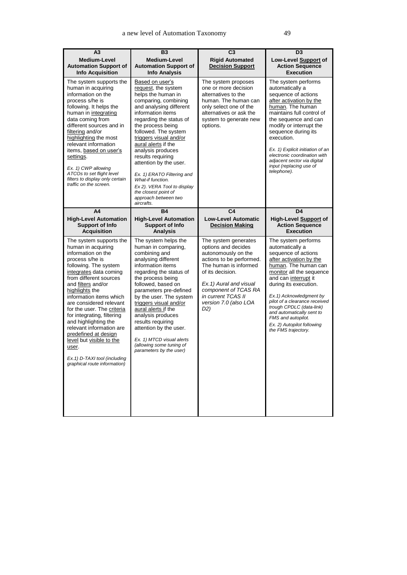| A <sub>3</sub><br>Medium-Level<br><b>Automation Support of</b><br><b>Info Acquisition</b>                                                                                                                                                                                                                                                                                                                                                                                                                                             | <b>B3</b><br>Medium-Level<br><b>Automation Support of</b><br><b>Info Analysis</b>                                                                                                                                                                                                                                                                                                                                                                                                 | $\overline{C3}$<br><b>Rigid Automated</b><br><b>Decision Support</b>                                                                                                                                                                                | D <sub>3</sub><br>Low-Level Support of<br><b>Action Sequence</b><br><b>Execution</b>                                                                                                                                                                                                                                                                                                                              |
|---------------------------------------------------------------------------------------------------------------------------------------------------------------------------------------------------------------------------------------------------------------------------------------------------------------------------------------------------------------------------------------------------------------------------------------------------------------------------------------------------------------------------------------|-----------------------------------------------------------------------------------------------------------------------------------------------------------------------------------------------------------------------------------------------------------------------------------------------------------------------------------------------------------------------------------------------------------------------------------------------------------------------------------|-----------------------------------------------------------------------------------------------------------------------------------------------------------------------------------------------------------------------------------------------------|-------------------------------------------------------------------------------------------------------------------------------------------------------------------------------------------------------------------------------------------------------------------------------------------------------------------------------------------------------------------------------------------------------------------|
| The system supports the<br>human in acquiring<br>information on the<br>process s/he is<br>following. It helps the<br>human in integrating<br>data coming from<br>different sources and in<br>filtering and/or<br>highlighting the most<br>relevant information<br>items, based on user's<br>settings.<br>Ex. 1) CWP allowing<br>ATCOs to set flight level<br>filters to display only certain<br>traffic on the screen.                                                                                                                | Based on user's<br>request, the system<br>helps the human in<br>comparing, combining<br>and analysing different<br>information items<br>regarding the status of<br>the process being<br>followed. The system<br>triggers visual and/or<br>aural alerts if the<br>analysis produces<br>results requiring<br>attention by the user.<br>Ex. 1) ERATO Filtering and<br>What-if function.<br>Ex 2). VERA Tool to display<br>the closest point of<br>approach between two<br>aircrafts. | The system proposes<br>one or more decision<br>alternatives to the<br>human. The human can<br>only select one of the<br>alternatives or ask the<br>system to generate new<br>options.                                                               | The system performs<br>automatically a<br>sequence of actions<br>after activation by the<br>human. The human<br>maintains full control of<br>the sequence and can<br>modify or interrupt the<br>sequence during its<br>execution.<br>Ex. 1) Explicit initiation of an<br>electronic coordination with<br>adjacent sector via digital<br>input (replacing use of<br>telephone).                                    |
| A4<br><b>High-Level Automation</b><br><b>Support of Info</b>                                                                                                                                                                                                                                                                                                                                                                                                                                                                          | <b>B4</b><br><b>High-Level Automation</b><br><b>Support of Info</b>                                                                                                                                                                                                                                                                                                                                                                                                               | C <sub>4</sub><br><b>Low-Level Automatic</b><br><b>Decision Making</b>                                                                                                                                                                              | D4<br>High-Level Support of<br><b>Action Sequence</b>                                                                                                                                                                                                                                                                                                                                                             |
| <b>Acquisition</b><br>The system supports the<br>human in acquiring<br>information on the<br>process s/he is<br>following. The system<br>integrates data coming<br>from different sources<br>and filters and/or<br>highlights the<br>information items which<br>are considered relevant<br>for the user. The criteria<br>for integrating, filtering<br>and highlighting the<br>relevant information are<br>predefined at design<br>level but visible to the<br>user.<br>Ex. 1) D-TAXI tool (including<br>graphical route information) | <b>Analysis</b><br>The system helps the<br>human in comparing,<br>combining and<br>analysing different<br>information items<br>regarding the status of<br>the process being<br>followed, based on<br>parameters pre-defined<br>by the user. The system<br>triggers visual and/or<br>aural alerts if the<br>analysis produces<br>results requiring<br>attention by the user.<br>Ex. 1) MTCD visual alerts<br>(allowing some tuning of<br>parameters by the user)                   | The system generates<br>options and decides<br>autonomously on the<br>actions to be performed.<br>The human is informed<br>of its decision.<br>Ex.1) Aural and visual<br>component of TCAS RA<br>in current TCAS II<br>version 7.0 (also LOA<br>D2) | <b>Execution</b><br>The system performs<br>automatically a<br>sequence of actions<br>after activation by the<br>human. The human can<br>monitor all the sequence<br>and can interrupt it<br>during its execution.<br>Ex.1) Acknowledgment by<br>pilot of a clearance received<br>trough CPDLC (data-link)<br>and automatically sent to<br>FMS and autopilot.<br>Ex. 2) Autopilot following<br>the FMS trajectory. |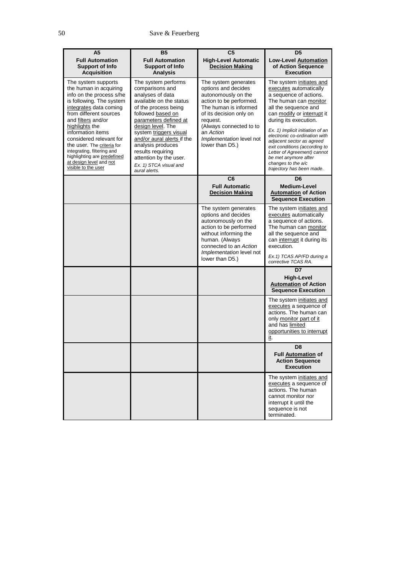| A <sub>5</sub>                                                                                                                                                                                                                                                                                                                                                                                 | <b>B5</b>                                                                                                                                                                                                                                                                                                                                               | C <sub>5</sub>                                                                                                                                                                                                                                       | D5                                                                                                                                                                                                                                                                                                                                                                                                                                |
|------------------------------------------------------------------------------------------------------------------------------------------------------------------------------------------------------------------------------------------------------------------------------------------------------------------------------------------------------------------------------------------------|---------------------------------------------------------------------------------------------------------------------------------------------------------------------------------------------------------------------------------------------------------------------------------------------------------------------------------------------------------|------------------------------------------------------------------------------------------------------------------------------------------------------------------------------------------------------------------------------------------------------|-----------------------------------------------------------------------------------------------------------------------------------------------------------------------------------------------------------------------------------------------------------------------------------------------------------------------------------------------------------------------------------------------------------------------------------|
| <b>Full Automation</b><br><b>Support of Info</b><br><b>Acquisition</b>                                                                                                                                                                                                                                                                                                                         | <b>Full Automation</b><br>Support of Info<br><b>Analysis</b>                                                                                                                                                                                                                                                                                            | <b>High-Level Automatic</b><br><b>Decision Making</b>                                                                                                                                                                                                | Low-Level Automation<br>of Action Sequence<br><b>Execution</b>                                                                                                                                                                                                                                                                                                                                                                    |
| The system supports<br>the human in acquiring<br>info on the process s/he<br>is following. The system<br>integrates data coming<br>from different sources<br>and filters and/or<br>highlights the<br>information items<br>considered relevant for<br>the user. The criteria for<br>integrating, filtering and<br>highlighting are predefined<br>at design level and not<br>visible to the user | The system performs<br>comparisons and<br>analyses of data<br>available on the status<br>of the process being<br>followed based on<br>parameters defined at<br>design level. The<br>system triggers visual<br>and/or aural alerts if the<br>analysis produces<br>results requiring<br>attention by the user.<br>Ex. 1) STCA visual and<br>aural alerts. | The system generates<br>options and decides<br>autonomously on the<br>action to be performed.<br>The human is informed<br>of its decision only on<br>request.<br>(Always connected to to<br>an Action<br>Implementation level not<br>lower than D5.) | The system initiates and<br>executes automatically<br>a sequence of actions.<br>The human can monitor<br>all the sequence and<br>can modify or interrupt it<br>during its execution.<br>Ex. 1) Implicit initiation of an<br>electronic co-ordination with<br>adjacent sector as agreed<br>exit conditions (according to<br>Letter of Agreement) cannot<br>be met anymore after<br>changes to the a/c<br>trajectory has been made. |
|                                                                                                                                                                                                                                                                                                                                                                                                |                                                                                                                                                                                                                                                                                                                                                         | C <sub>6</sub><br><b>Full Automatic</b><br><b>Decision Making</b>                                                                                                                                                                                    | D <sub>6</sub><br><b>Medium-Level</b><br><b>Automation of Action</b><br><b>Sequence Execution</b>                                                                                                                                                                                                                                                                                                                                 |
|                                                                                                                                                                                                                                                                                                                                                                                                |                                                                                                                                                                                                                                                                                                                                                         | The system generates<br>options and decides<br>autonomously on the<br>action to be performed<br>without informing the<br>human. (Always<br>connected to an Action                                                                                    | The system initiates and<br>executes automatically<br>a sequence of actions.<br>The human can monitor<br>all the sequence and<br>can interrupt it during its<br>execution.                                                                                                                                                                                                                                                        |
|                                                                                                                                                                                                                                                                                                                                                                                                |                                                                                                                                                                                                                                                                                                                                                         | Implementation level not<br>lower than D5.)                                                                                                                                                                                                          | Ex.1) TCAS AP/FD during a<br>corrective TCAS RA.                                                                                                                                                                                                                                                                                                                                                                                  |
|                                                                                                                                                                                                                                                                                                                                                                                                |                                                                                                                                                                                                                                                                                                                                                         |                                                                                                                                                                                                                                                      | D7<br><b>High-Level</b><br><b>Automation of Action</b><br><b>Sequence Execution</b>                                                                                                                                                                                                                                                                                                                                               |
|                                                                                                                                                                                                                                                                                                                                                                                                |                                                                                                                                                                                                                                                                                                                                                         |                                                                                                                                                                                                                                                      | The system initiates and<br>executes a sequence of<br>actions. The human can<br>only monitor part of it<br>and has limited<br>opportunities to interrupt<br>it.                                                                                                                                                                                                                                                                   |
|                                                                                                                                                                                                                                                                                                                                                                                                |                                                                                                                                                                                                                                                                                                                                                         |                                                                                                                                                                                                                                                      | D <sub>8</sub><br>Full Automation of<br><b>Action Sequence</b><br><b>Execution</b>                                                                                                                                                                                                                                                                                                                                                |
|                                                                                                                                                                                                                                                                                                                                                                                                |                                                                                                                                                                                                                                                                                                                                                         |                                                                                                                                                                                                                                                      | The system initiates and<br>executes a sequence of<br>actions. The human<br>cannot monitor nor<br>interrupt it until the<br>sequence is not<br>terminated.                                                                                                                                                                                                                                                                        |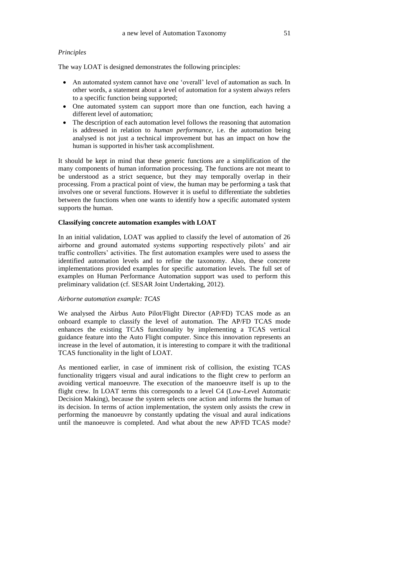## *Principles*

The way LOAT is designed demonstrates the following principles:

- An automated system cannot have one 'overall' level of automation as such. In other words, a statement about a level of automation for a system always refers to a specific function being supported;
- One automated system can support more than one function, each having a different level of automation;
- The description of each automation level follows the reasoning that automation is addressed in relation to *human performance*, i.e. the automation being analysed is not just a technical improvement but has an impact on how the human is supported in his/her task accomplishment.

It should be kept in mind that these generic functions are a simplification of the many components of human information processing. The functions are not meant to be understood as a strict sequence, but they may temporally overlap in their processing. From a practical point of view, the human may be performing a task that involves one or several functions. However it is useful to differentiate the subtleties between the functions when one wants to identify how a specific automated system supports the human.

# **Classifying concrete automation examples with LOAT**

In an initial validation, LOAT was applied to classify the level of automation of 26 airborne and ground automated systems supporting respectively pilots' and air traffic controllers' activities. The first automation examples were used to assess the identified automation levels and to refine the taxonomy. Also, these concrete implementations provided examples for specific automation levels. The full set of examples on Human Performance Automation support was used to perform this preliminary validation (cf. SESAR Joint Undertaking, 2012).

#### *Airborne automation example: TCAS*

We analysed the Airbus Auto Pilot/Flight Director (AP/FD) TCAS mode as an onboard example to classify the level of automation. The AP/FD TCAS mode enhances the existing TCAS functionality by implementing a TCAS vertical guidance feature into the Auto Flight computer. Since this innovation represents an increase in the level of automation, it is interesting to compare it with the traditional TCAS functionality in the light of LOAT.

As mentioned earlier, in case of imminent risk of collision, the existing TCAS functionality triggers visual and aural indications to the flight crew to perform an avoiding vertical manoeuvre. The execution of the manoeuvre itself is up to the flight crew. In LOAT terms this corresponds to a level C4 (Low-Level Automatic Decision Making), because the system selects one action and informs the human of its decision. In terms of action implementation, the system only assists the crew in performing the manoeuvre by constantly updating the visual and aural indications until the manoeuvre is completed. And what about the new AP/FD TCAS mode?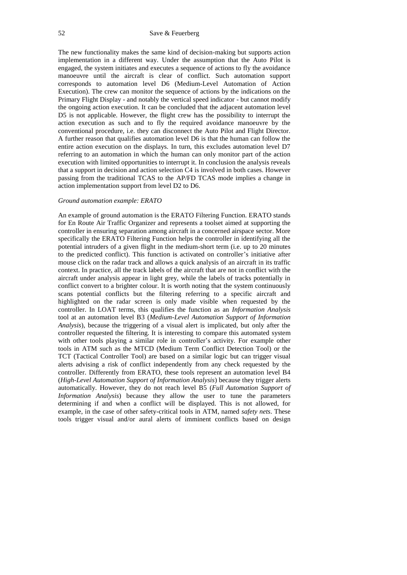The new functionality makes the same kind of decision-making but supports action implementation in a different way. Under the assumption that the Auto Pilot is engaged, the system initiates and executes a sequence of actions to fly the avoidance manoeuvre until the aircraft is clear of conflict. Such automation support corresponds to automation level D6 (Medium-Level Automation of Action Execution). The crew can monitor the sequence of actions by the indications on the Primary Flight Display - and notably the vertical speed indicator - but cannot modify the ongoing action execution. It can be concluded that the adjacent automation level D5 is not applicable. However, the flight crew has the possibility to interrupt the action execution as such and to fly the required avoidance manoeuvre by the conventional procedure, i.e. they can disconnect the Auto Pilot and Flight Director. A further reason that qualifies automation level D6 is that the human can follow the entire action execution on the displays. In turn, this excludes automation level D7 referring to an automation in which the human can only monitor part of the action execution with limited opportunities to interrupt it. In conclusion the analysis reveals that a support in decision and action selection C4 is involved in both cases. However passing from the traditional TCAS to the AP/FD TCAS mode implies a change in action implementation support from level D2 to D6.

## *Ground automation example: ERATO*

An example of ground automation is the ERATO Filtering Function. ERATO stands for En Route Air Traffic Organizer and represents a toolset aimed at supporting the controller in ensuring separation among aircraft in a concerned airspace sector. More specifically the ERATO Filtering Function helps the controller in identifying all the potential intruders of a given flight in the medium-short term (i.e. up to 20 minutes to the predicted conflict). This function is activated on controller's initiative after mouse click on the radar track and allows a quick analysis of an aircraft in its traffic context. In practice, all the track labels of the aircraft that are not in conflict with the aircraft under analysis appear in light grey, while the labels of tracks potentially in conflict convert to a brighter colour. It is worth noting that the system continuously scans potential conflicts but the filtering referring to a specific aircraft and highlighted on the radar screen is only made visible when requested by the controller. In LOAT terms, this qualifies the function as an *Information Analysis* tool at an automation level B3 (*Medium-Level Automation Support of Information Analysis*), because the triggering of a visual alert is implicated, but only after the controller requested the filtering. It is interesting to compare this automated system with other tools playing a similar role in controller's activity. For example other tools in ATM such as the MTCD (Medium Term Conflict Detection Tool) or the TCT (Tactical Controller Tool) are based on a similar logic but can trigger visual alerts advising a risk of conflict independently from any check requested by the controller. Differently from ERATO, these tools represent an automation level B4 (*High-Level Automation Support of Information Analysis*) because they trigger alerts automatically. However, they do not reach level B5 (*Full Automation Support of Information Analysis*) because they allow the user to tune the parameters determining if and when a conflict will be displayed. This is not allowed, for example, in the case of other safety-critical tools in ATM, named *safety nets*. These tools trigger visual and/or aural alerts of imminent conflicts based on design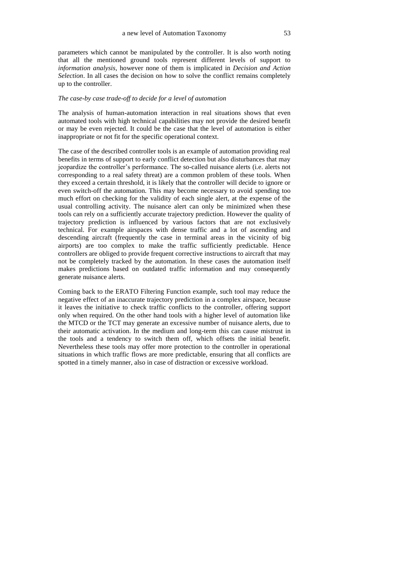parameters which cannot be manipulated by the controller. It is also worth noting that all the mentioned ground tools represent different levels of support to *information analysis*, however none of them is implicated in *Decision and Action Selection*. In all cases the decision on how to solve the conflict remains completely up to the controller.

#### *The case-by case trade-off to decide for a level of automation*

The analysis of human-automation interaction in real situations shows that even automated tools with high technical capabilities may not provide the desired benefit or may be even rejected. It could be the case that the level of automation is either inappropriate or not fit for the specific operational context.

The case of the described controller tools is an example of automation providing real benefits in terms of support to early conflict detection but also disturbances that may jeopardize the controller's performance. The so-called nuisance alerts (i.e. alerts not corresponding to a real safety threat) are a common problem of these tools. When they exceed a certain threshold, it is likely that the controller will decide to ignore or even switch-off the automation. This may become necessary to avoid spending too much effort on checking for the validity of each single alert, at the expense of the usual controlling activity. The nuisance alert can only be minimized when these tools can rely on a sufficiently accurate trajectory prediction. However the quality of trajectory prediction is influenced by various factors that are not exclusively technical. For example airspaces with dense traffic and a lot of ascending and descending aircraft (frequently the case in terminal areas in the vicinity of big airports) are too complex to make the traffic sufficiently predictable. Hence controllers are obliged to provide frequent corrective instructions to aircraft that may not be completely tracked by the automation. In these cases the automation itself makes predictions based on outdated traffic information and may consequently generate nuisance alerts.

Coming back to the ERATO Filtering Function example, such tool may reduce the negative effect of an inaccurate trajectory prediction in a complex airspace, because it leaves the initiative to check traffic conflicts to the controller, offering support only when required. On the other hand tools with a higher level of automation like the MTCD or the TCT may generate an excessive number of nuisance alerts, due to their automatic activation. In the medium and long-term this can cause mistrust in the tools and a tendency to switch them off, which offsets the initial benefit. Nevertheless these tools may offer more protection to the controller in operational situations in which traffic flows are more predictable, ensuring that all conflicts are spotted in a timely manner, also in case of distraction or excessive workload.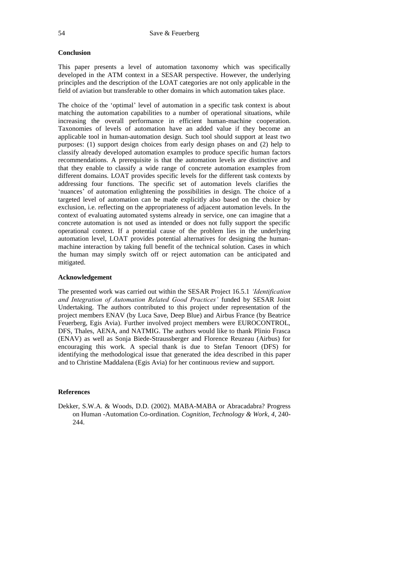# **Conclusion**

This paper presents a level of automation taxonomy which was specifically developed in the ATM context in a SESAR perspective. However, the underlying principles and the description of the LOAT categories are not only applicable in the field of aviation but transferable to other domains in which automation takes place.

The choice of the 'optimal' level of automation in a specific task context is about matching the automation capabilities to a number of operational situations, while increasing the overall performance in efficient human-machine cooperation. Taxonomies of levels of automation have an added value if they become an applicable tool in human-automation design. Such tool should support at least two purposes: (1) support design choices from early design phases on and (2) help to classify already developed automation examples to produce specific human factors recommendations. A prerequisite is that the automation levels are distinctive and that they enable to classify a wide range of concrete automation examples from different domains. LOAT provides specific levels for the different task contexts by addressing four functions. The specific set of automation levels clarifies the 'nuances' of automation enlightening the possibilities in design. The choice of a targeted level of automation can be made explicitly also based on the choice by exclusion, i.e. reflecting on the appropriateness of adjacent automation levels. In the context of evaluating automated systems already in service, one can imagine that a concrete automation is not used as intended or does not fully support the specific operational context. If a potential cause of the problem lies in the underlying automation level, LOAT provides potential alternatives for designing the humanmachine interaction by taking full benefit of the technical solution. Cases in which the human may simply switch off or reject automation can be anticipated and mitigated.

### **Acknowledgement**

The presented work was carried out within the SESAR Project 16.5.1 *'Identification and Integration of Automation Related Good Practices'* funded by SESAR Joint Undertaking. The authors contributed to this project under representation of the project members ENAV (by Luca Save, Deep Blue) and Airbus France (by Beatrice Feuerberg, Egis Avia). Further involved project members were EUROCONTROL, DFS, Thales, AENA, and NATMIG. The authors would like to thank Plinio Frasca (ENAV) as well as Sonja Biede-Straussberger and Florence Reuzeau (Airbus) for encouraging this work. A special thank is due to Stefan Tenoort (DFS) for identifying the methodological issue that generated the idea described in this paper and to Christine Maddalena (Egis Avia) for her continuous review and support.

## **References**

Dekker, S.W.A. & Woods, D.D. (2002). MABA-MABA or Abracadabra? Progress on Human -Automation Co-ordination. *Cognition, Technology & Work*, *4*, 240- 244.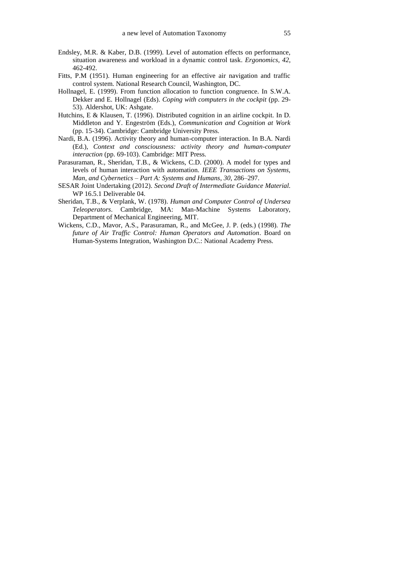- Endsley, M.R. & Kaber, D.B. (1999). [Level of automation effects on performance,](http://www.satechnologies.com/Papers/pdf/Endsley_Kaber_Ergo_99.pdf)  [situation awareness and workload in a dynamic control task.](http://www.satechnologies.com/Papers/pdf/Endsley_Kaber_Ergo_99.pdf) *Ergonomics*, *42*, 462-492.
- Fitts, P.M (1951). Human engineering for an effective air navigation and traffic control system. National Research Council, Washington, DC.
- Hollnagel, E. (1999). From function allocation to function congruence. In S.W.A. Dekker and E. Hollnagel (Eds). *Coping with computers in the cockpit* (pp. 29- 53). Aldershot, UK: Ashgate.
- Hutchins, E & Klausen, T. (1996). Distributed cognition in an airline cockpit*.* In D. Middleton and Y. Engeström (Eds.), *Communication and Cognition at Work* (pp. 15-34). Cambridge: Cambridge University Press.
- Nardi, B.A. (1996). Activity theory and human-computer interaction. In B.A. Nardi (Ed.), *Context and consciousness: activity theory and human-computer interaction* (pp. 69-103). Cambridge: MIT Press.
- Parasuraman, R., Sheridan, T.B., & Wickens, C.D. (2000). A model for types and levels of human interaction with automation. *IEEE Transactions on Systems, Man, and Cybernetics – Part A: Systems and Humans*, *30*, 286–297.
- SESAR Joint Undertaking (2012). *Second Draft of Intermediate Guidance Material.* WP 16.5.1 Deliverable 04.
- Sheridan, T.B., & Verplank, W. (1978). *Human and Computer Control of Undersea Teleoperators*. Cambridge, MA: Man-Machine Systems Laboratory, Department of Mechanical Engineering, MIT.
- Wickens, C.D., Mavor, A.S., Parasuraman, R., and McGee, J. P. (eds.) (1998). *The future of Air Traffic Control: Human Operators and Automation*. Board on Human-Systems Integration, Washington D.C.: National Academy Press.